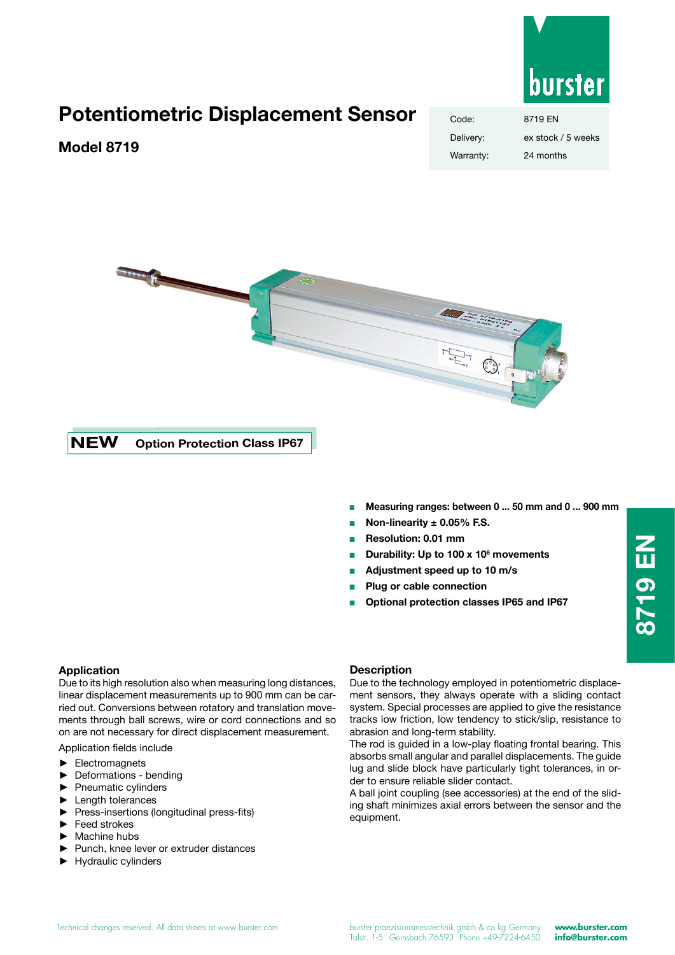

# **Potentiometric Displacement Sensor**

### **Model 8719**

# Code: 8719 EN Delivery: ex stock / 5 weeks Warranty: 24 months



**NEW Option Protection Class IP67**

- <sup>Q</sup> **Measuring ranges: between 0 ... 50 mm and 0 ... 900 mm**
- Non-linearity  $\pm$  0.05% F.S.
- **Resolution: 0.01 mm**
- Durability: Up to 100 x 10<sup>6</sup> movements
- <sup>Q</sup> **Adjustment speed up to 10 m/s**
- <sup>Q</sup> **Plug or cable connection**
- <sup>Q</sup> **Optional protection classes IP65 and IP67**

#### **Application**

Due to its high resolution also when measuring long distances, linear displacement measurements up to 900 mm can be carried out. Conversions between rotatory and translation movements through ball screws, wire or cord connections and so on are not necessary for direct displacement measurement.

Application fields include

- ► Electromagnets
- Deformations bending
- ► Pneumatic cylinders
- Length tolerances
- ► Press-insertions (longitudinal press-fits)
- ► Feed strokes
- ► Machine hubs
- ► Punch, knee lever or extruder distances
- ► Hydraulic cylinders

#### **Description**

Due to the technology employed in potentiometric displacement sensors, they always operate with a sliding contact system. Special processes are applied to give the resistance tracks low friction, low tendency to stick/slip, resistance to abrasion and long-term stability.

The rod is guided in a low-play floating frontal bearing. This absorbs small angular and parallel displacements. The guide lug and slide block have particularly tight tolerances, in order to ensure reliable slider contact.

A ball joint coupling (see accessories) at the end of the sliding shaft minimizes axial errors between the sensor and the equipment.